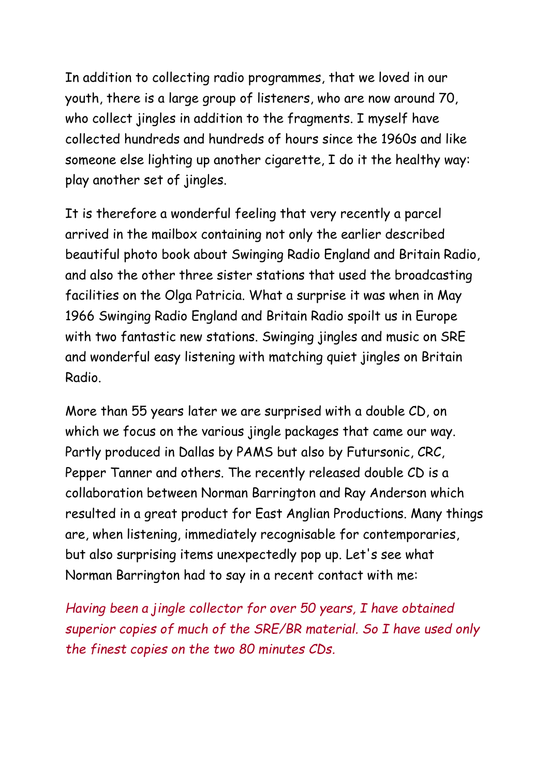In addition to collecting radio programmes, that we loved in our youth, there is a large group of listeners, who are now around 70, who collect jingles in addition to the fragments. I myself have collected hundreds and hundreds of hours since the 1960s and like someone else lighting up another cigarette, I do it the healthy way: play another set of jingles.

It is therefore a wonderful feeling that very recently a parcel arrived in the mailbox containing not only the earlier described beautiful photo book about Swinging Radio England and Britain Radio, and also the other three sister stations that used the broadcasting facilities on the Olga Patricia. What a surprise it was when in May 1966 Swinging Radio England and Britain Radio spoilt us in Europe with two fantastic new stations. Swinging jingles and music on SRE and wonderful easy listening with matching quiet jingles on Britain Radio.

More than 55 years later we are surprised with a double CD, on which we focus on the various jingle packages that came our way. Partly produced in Dallas by PAMS but also by Futursonic, CRC, Pepper Tanner and others. The recently released double CD is a collaboration between Norman Barrington and Ray Anderson which resulted in a great product for East Anglian Productions. Many things are, when listening, immediately recognisable for contemporaries, but also surprising items unexpectedly pop up. Let's see what Norman Barrington had to say in a recent contact with me:

*Having been a jingle collector for over 50 years, I have obtained superior copies of much of the SRE/BR material. So I have used only the finest copies on the two 80 minutes CDs.*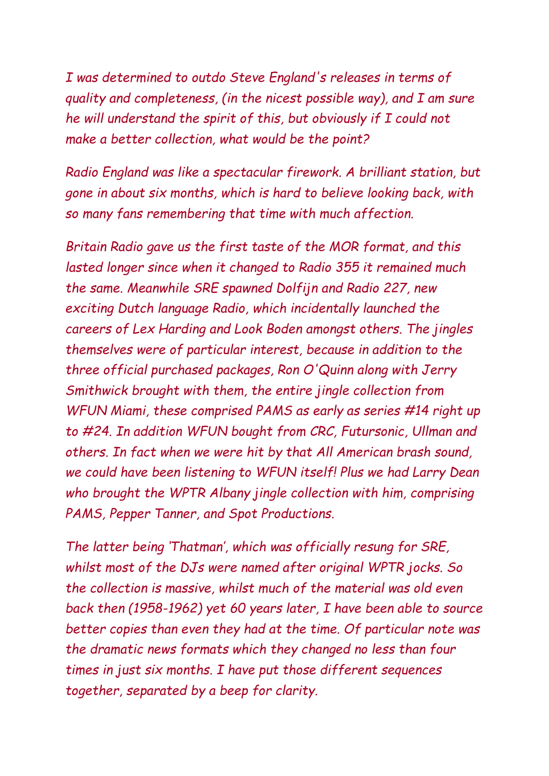*I was determined to outdo Steve England's releases in terms of quality and completeness, (in the nicest possible way), and I am sure he will understand the spirit of this, but obviously if I could not make a better collection, what would be the point?*

*Radio England was like a spectacular firework. A brilliant station, but gone in about six months, which is hard to believe looking back, with so many fans remembering that time with much affection.*

*Britain Radio gave us the first taste of the MOR format, and this lasted longer since when it changed to Radio 355 it remained much the same. Meanwhile SRE spawned Dolfijn and Radio 227, new exciting Dutch language Radio, which incidentally launched the careers of Lex Harding and Look Boden amongst others. The jingles themselves were of particular interest, because in addition to the three official purchased packages, Ron O'Quinn along with Jerry Smithwick brought with them, the entire jingle collection from WFUN Miami, these comprised PAMS as early as series #14 right up to #24. In addition WFUN bought from CRC, Futursonic, Ullman and others. In fact when we were hit by that All American brash sound, we could have been listening to WFUN itself! Plus we had Larry Dean who brought the WPTR Albany jingle collection with him, comprising PAMS, Pepper Tanner, and Spot Productions.*

*The latter being 'Thatman', which was officially resung for SRE, whilst most of the DJs were named after original WPTR jocks. So the collection is massive, whilst much of the material was old even back then (1958-1962) yet 60 years later, I have been able to source better copies than even they had at the time. Of particular note was the dramatic news formats which they changed no less than four times in just six months. I have put those different sequences together, separated by a beep for clarity.*